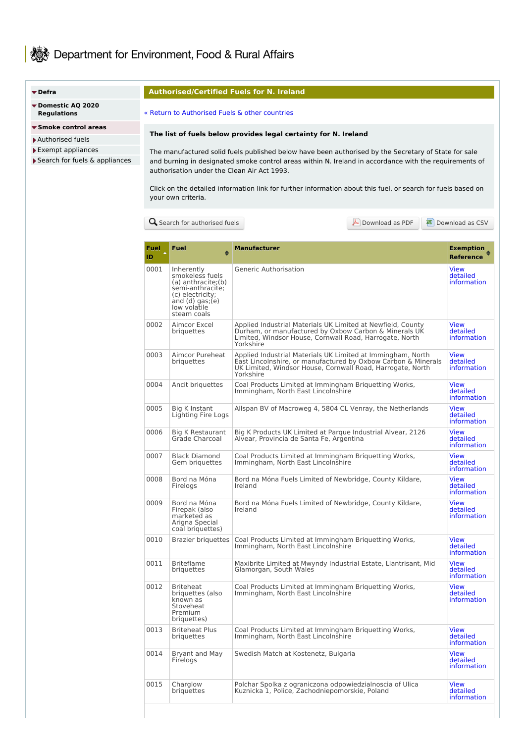# Bow Department for Environment, Food & Rural Affairs

#### **[Defra](https://www.gov.uk/defra)**

- **Domestic AQ 2020 [Regulations](https://www.gov.uk/guidance/selling-manufactured-solid-fuels-for-domestic-use-in-england)**
- **Smoke [control](https://www.gov.uk/smoke-control-area-rules) areas**
- [Authorised](https://smokecontrol.defra.gov.uk/fuels.php) fuels
- Exempt [appliances](https://smokecontrol.defra.gov.uk/appliances.php)
- ▶ Search for fuels & [appliances](https://smokecontrol.defra.gov.uk/search.php)

#### **Authorised/Certified Fuels for N. Ireland**

#### « Return to [Authorised](https://smokecontrol.defra.gov.uk/fuels.php) Fuels & other countries

## **The list of fuels below provides legal certainty for N. Ireland**

The manufactured solid fuels published below have been authorised by the Secretary of State for sale and burning in designated smoke control areas within N. Ireland in accordance with the requirements of authorisation under the Clean Air Act 1993.

Click on the detailed information link for further information about this fuel, or search for fuels based on your own criteria.

**Q** Search for [authorised](https://smokecontrol.defra.gov.uk/search.php?type=fuels) fuels **[Download](https://smokecontrol.defra.gov.uk/fuels.php?country=northern-ireland&download=csv) as PDF** Download as CSV

| Fuel<br>ID. | <b>Fuel</b><br>٠                                                                                                                                   | <b>Manufacturer</b>                                                                                                                                                                                     | Exemption<br><b>Reference</b>          |
|-------------|----------------------------------------------------------------------------------------------------------------------------------------------------|---------------------------------------------------------------------------------------------------------------------------------------------------------------------------------------------------------|----------------------------------------|
| 0001        | Inherently<br>smokeless fuels<br>(a) anthracite;(b)<br>semi-anthracite;<br>(c) electricity;<br>and $(d)$ gas; $(e)$<br>low volatile<br>steam coals | Generic Authorisation                                                                                                                                                                                   | View<br>detailed<br>information        |
| 0002        | Aimcor Excel<br>briauettes                                                                                                                         | Applied Industrial Materials UK Limited at Newfield, County<br>Durham, or manufactured by Oxbow Carbon & Minerals UK<br>Limited, Windsor House, Cornwall Road, Harrogate, North<br>Yorkshire            | View<br>detailed<br>information        |
| 0003        | Aimcor Pureheat<br>briquettes                                                                                                                      | Applied Industrial Materials UK Limited at Immingham, North<br>East Lincolnshire, or manufactured by Oxbow Carbon & Minerals<br>UK Limited, Windsor House, Cornwall Road, Harrogate, North<br>Yorkshire | <b>View</b><br>detailed<br>information |
| 0004        | Ancit briguettes                                                                                                                                   | Coal Products Limited at Immingham Briguetting Works,<br>Immingham, North East Lincolnshire                                                                                                             | View<br>detailed<br>information        |
| 0005        | Big K Instant<br>Lighting Fire Logs                                                                                                                | Allspan BV of Macroweg 4, 5804 CL Venray, the Netherlands                                                                                                                                               | <b>View</b><br>detailed<br>information |
| 0006        | <b>Big K Restaurant</b><br>Grade Charcoal                                                                                                          | Big K Products UK Limited at Parque Industrial Alvear, 2126<br>Alvear, Provincia de Santa Fe, Argentina                                                                                                 | View<br>detailed<br>information        |
| 0007        | <b>Black Diamond</b><br>Gem briguettes                                                                                                             | Coal Products Limited at Immingham Briquetting Works,<br>Immingham, North East Lincolnshire                                                                                                             | View<br>detailed<br>information        |
| 0008        | Bord na Móna<br>Firelogs                                                                                                                           | Bord na Móna Fuels Limited of Newbridge, County Kildare,<br>Ireland                                                                                                                                     | View<br>detailed<br>information        |
| 0009        | Bord na Móna<br>Firepak (also<br>marketed as<br>Arigna Special<br>coal briquettes)                                                                 | Bord na Móna Fuels Limited of Newbridge, County Kildare,<br>Ireland                                                                                                                                     | View<br>detailed<br>information        |
| 0010        | Brazier briguettes                                                                                                                                 | Coal Products Limited at Immingham Briguetting Works,<br>Immingham, North East Lincolnshire                                                                                                             | View<br>detailed<br>information        |
| 0011        | <b>Briteflame</b><br>briquettes                                                                                                                    | Maxibrite Limited at Mwyndy Industrial Estate, Llantrisant, Mid<br>Glamorgan, South Wales                                                                                                               | View<br>detailed<br>information        |
| 0012        | <b>Briteheat</b><br>briquettes (also<br>known as<br>Stoveheat<br>Premium<br>briquettes)                                                            | Coal Products Limited at Immingham Briguetting Works,<br>Immingham, North East Lincolnshire                                                                                                             | View<br>detailed<br>information        |
| 0013        | <b>Briteheat Plus</b><br>priquettes                                                                                                                | Coal Products Limited at Immingham Briquetting Works,<br>Immingham, North East Lincolnshire                                                                                                             | <b>View</b><br>detailed<br>information |
| 0014        | Bryant and May<br>Firelogs                                                                                                                         | Swedish Match at Kostenetz, Bulgaria                                                                                                                                                                    | <b>View</b><br>detailed<br>information |
| 0015        | Charglow<br>briquettes                                                                                                                             | Polchar Spolka z ograniczona odpowiedzialnoscia of Ulica<br>Kuznicka 1, Police, Zachodniepomorskie, Poland                                                                                              | View<br>detailed<br><i>information</i> |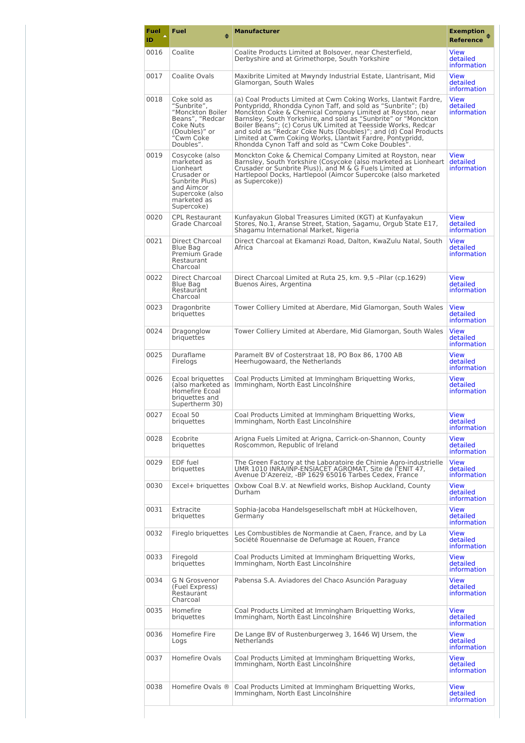| <b>Fuel</b><br>ID | Fuel                                                                                                                                      | <b>Manufacturer</b>                                                                                                                                                                                                                                                                                                                                                                                                                                                                                                  | <b>Exemption</b><br><b>Reference</b>          |
|-------------------|-------------------------------------------------------------------------------------------------------------------------------------------|----------------------------------------------------------------------------------------------------------------------------------------------------------------------------------------------------------------------------------------------------------------------------------------------------------------------------------------------------------------------------------------------------------------------------------------------------------------------------------------------------------------------|-----------------------------------------------|
| 0016              | Coalite                                                                                                                                   | Coalite Products Limited at Bolsover, near Chesterfield,<br>Derbyshire and at Grimethorpe. South Yorkshire                                                                                                                                                                                                                                                                                                                                                                                                           | <b>View</b><br>detailed<br>information        |
| 0017              | Coalite Ovals                                                                                                                             | Maxibrite Limited at Mwyndy Industrial Estate, Llantrisant, Mid<br>Glamorgan, South Wales                                                                                                                                                                                                                                                                                                                                                                                                                            | View<br>detailed<br>information               |
| 0018              | Coke sold as<br>"Sunbrite",<br>"Monckton Boiler<br>Beans", "Redcar<br>Coke Nuts<br>(Doubles)" or<br>"Cwm Coke<br>Doubles".                | (a) Coal Products Limited at Cwm Coking Works, Llantwit Fardre,<br>Pontypridd, Rhondda Cynon Taff, and sold as "Sunbrite"; (b)<br>Monckton Coke & Chemical Company Limited at Royston, near<br>Barnsley, South Yorkshire, and sold as "Sunbrite" or "Monckton<br>Boiler Beans"; (c) Corus UK Limited at Teesside Works, Redcar<br>and sold as "Redcar Coke Nuts (Doubles)"; and (d) Coal Products<br>Limited at Cwm Coking Works, Llantwit Fardre, Pontypridd,<br>Rhondda Cynon Taff and sold as "Cwm Coke Doubles". | <b>View</b><br>detailed<br><i>information</i> |
| 0019              | Cosycoke (also<br>marketed as<br>Lionheart<br>Crusader or<br>Sunbrite Plus)<br>and Aimcor<br>Supercoke (also<br>marketed as<br>Supercoke) | Monckton Coke & Chemical Company Limited at Royston, near<br>Barnsley, South Yorkshire (Cosycoke (also marketed as Lionheart<br>Crusader or Sunbrite Plus)), and M & G Fuels Limited at<br>Hartlepool Docks, Hartlepool (Aimcor Supercoke (also marketed<br>as Supercoke))                                                                                                                                                                                                                                           | View<br>detailed<br><i>information</i>        |
| 0020              | <b>CPL Restaurant</b><br>Grade Charcoal                                                                                                   | Kunfayakun Global Treasures Limited (KGT) at Kunfayakun<br>Stores, No.1, Aranse Street, Station, Sagamu, Orgub State E17,<br>Shagamu International Market, Nigeria                                                                                                                                                                                                                                                                                                                                                   | <b>View</b><br>detailed<br>information        |
| 0021              | Direct Charcoal<br>Blue Bag<br>Premium Grade<br>Restaurant<br>Charcoal                                                                    | Direct Charcoal at Ekamanzi Road, Dalton, KwaZulu Natal, South<br>Africa                                                                                                                                                                                                                                                                                                                                                                                                                                             | <b>View</b><br>detailed<br><i>information</i> |
| 0022              | Direct Charcoal<br>Blue Bag<br>Restaurant<br>Charcoal                                                                                     | Direct Charcoal Limited at Ruta 25, km. 9,5 -Pilar (cp.1629)<br>Buenos Aires, Argentina                                                                                                                                                                                                                                                                                                                                                                                                                              | View<br>detailed<br><i>information</i>        |
| 0023              | Dragonbrite<br>briquettes                                                                                                                 | Tower Colliery Limited at Aberdare, Mid Glamorgan, South Wales                                                                                                                                                                                                                                                                                                                                                                                                                                                       | <b>View</b><br>detailed<br><i>information</i> |
| 0024              | Dragonglow<br>briguettes                                                                                                                  | Tower Colliery Limited at Aberdare, Mid Glamorgan, South Wales                                                                                                                                                                                                                                                                                                                                                                                                                                                       | <b>View</b><br>detailed<br>information        |
| 0025              | Duraflame<br>Firelogs                                                                                                                     | Paramelt BV of Costerstraat 18, PO Box 86, 1700 AB<br>Heerhugowaard, the Netherlands                                                                                                                                                                                                                                                                                                                                                                                                                                 | View<br>detailed<br><i>information</i>        |
| 0026              | Ecoal briguettes<br>(also marketed as<br>Homefire Ecoal<br>briquettes and<br>Supertherm 30)                                               | Coal Products Limited at Immingham Briguetting Works,<br>Immingham, North East Lincolnshire                                                                                                                                                                                                                                                                                                                                                                                                                          | <b>View</b><br>detailed<br><i>information</i> |
| 0027              | Ecoal 50<br>briquettes                                                                                                                    | Coal Products Limited at Immingham Briguetting Works,<br>Immingham, North East Lincolnshire                                                                                                                                                                                                                                                                                                                                                                                                                          | View<br>detailed<br>information               |
| 0028              | Ecobrite<br>briquettes                                                                                                                    | Arigna Fuels Limited at Arigna, Carrick-on-Shannon, County<br>Roscommon, Republic of Ireland                                                                                                                                                                                                                                                                                                                                                                                                                         | <b>View</b><br>detailed<br>information        |
| 0029              | EDF fuel<br>briquettes                                                                                                                    | The Green Factory at the Laboratoire de Chimie Agro-industrielle<br>UMR 1010 INRA/INP-ENSIACET AGROMAT, Site de l'ENIT 47,<br>Avenue D'Azereiz, -BP 1629 65016 Tarbes Cedex, France                                                                                                                                                                                                                                                                                                                                  | <b>View</b><br>detailed<br>information        |
| 0030              | Excel+ briguettes                                                                                                                         | Oxbow Coal B.V. at Newfield works, Bishop Auckland, County<br>Durham                                                                                                                                                                                                                                                                                                                                                                                                                                                 | View<br>detailed<br>information               |
| 0031              | Extracite<br>briquettes                                                                                                                   | Sophia-Jacoba Handelsgesellschaft mbH at Hückelhoven,<br>Germany                                                                                                                                                                                                                                                                                                                                                                                                                                                     | View<br>detailed<br><i>information</i>        |
| 0032              | Fireglo briguettes                                                                                                                        | Les Combustibles de Normandie at Caen, France, and by La<br>Société Rouennaise de Defumage at Rouen, France                                                                                                                                                                                                                                                                                                                                                                                                          | <b>View</b><br>detailed<br><i>information</i> |
| 0033              | Firegold<br>briquettes                                                                                                                    | Coal Products Limited at Immingham Briguetting Works,<br>Immingham, North East Lincolnshire                                                                                                                                                                                                                                                                                                                                                                                                                          | View<br>detailed<br><i>information</i>        |
| 0034              | <b>G N Grosvenor</b><br>(Fuel Express)<br>Restaurant<br>Charcoal                                                                          | Pabensa S.A. Aviadores del Chaco Asunción Paraguay                                                                                                                                                                                                                                                                                                                                                                                                                                                                   | View<br>detailed<br><i>information</i>        |
| 0035              | Homefire<br>briquettes                                                                                                                    | Coal Products Limited at Immingham Briquetting Works,<br>Immingham, North East Lincolnshire                                                                                                                                                                                                                                                                                                                                                                                                                          | View<br>detailed<br>information               |
| 0036              | Homefire Fire<br>Logs                                                                                                                     | De Lange BV of Rustenburgerweg 3, 1646 WJ Ursem, the<br><b>Netherlands</b>                                                                                                                                                                                                                                                                                                                                                                                                                                           | View<br>detailed<br>information               |
| 0037              | Homefire Ovals                                                                                                                            | Coal Products Limited at Immingham Briguetting Works,<br>Immingham, North East Lincolnshire                                                                                                                                                                                                                                                                                                                                                                                                                          | View<br>detailed<br>information               |
| 0038              | Homefire Ovals ®                                                                                                                          | Coal Products Limited at Immingham Briguetting Works,<br>Immingham, North East Lincolnshire                                                                                                                                                                                                                                                                                                                                                                                                                          | View<br>detailed<br>information               |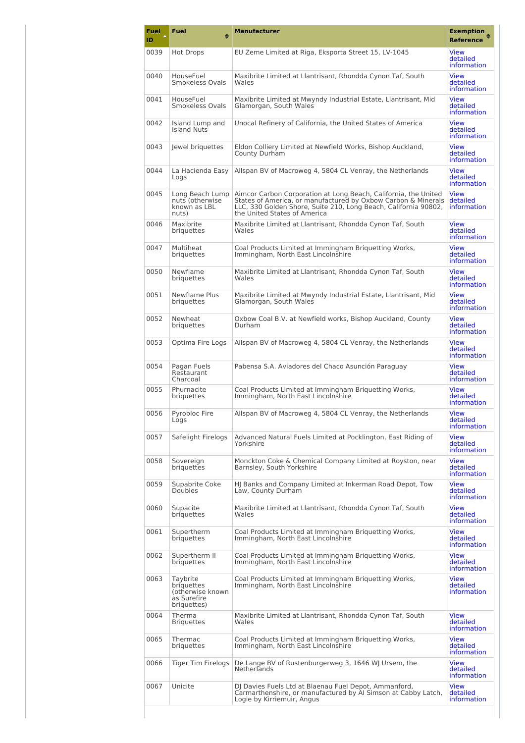| <b>Fuel</b><br>ID | Fuel<br>≜                                                                 | <b>Manufacturer</b>                                                                                                                                                                                                                 | <b>Exemption</b><br><b>Reference</b>          |
|-------------------|---------------------------------------------------------------------------|-------------------------------------------------------------------------------------------------------------------------------------------------------------------------------------------------------------------------------------|-----------------------------------------------|
| 0039              | Hot Drops                                                                 | EU Zeme Limited at Riga, Eksporta Street 15, LV-1045                                                                                                                                                                                | <b>View</b><br>detailed<br>information        |
| 0040              | HouseFuel<br>Smokeless Ovals                                              | Maxibrite Limited at Llantrisant, Rhondda Cynon Taf, South<br>Wales                                                                                                                                                                 | <b>View</b><br>detailed<br>information        |
| 0041              | HouseFuel<br>Smokeless Ovals                                              | Maxibrite Limited at Mwyndy Industrial Estate, Llantrisant, Mid<br>Glamorgan, South Wales                                                                                                                                           | <b>View</b><br>detailed<br>information        |
| 0042              | Island Lump and<br>Island Nuts                                            | Unocal Refinery of California, the United States of America                                                                                                                                                                         | <b>View</b><br>detailed<br>information        |
| 0043              | lewel briguettes                                                          | Eldon Colliery Limited at Newfield Works, Bishop Auckland,<br>County Durham                                                                                                                                                         | <b>View</b><br>detailed<br>information        |
| 0044              | La Hacienda Easy<br>Logs                                                  | Allspan BV of Macroweg 4, 5804 CL Venray, the Netherlands                                                                                                                                                                           | <b>View</b><br>detailed<br>information        |
| 0045              | Long Beach Lump<br>nuts (otherwise<br>known as LBL<br>nuts)               | Aimcor Carbon Corporation at Long Beach, California, the United<br>States of America, or manufactured by Oxbow Carbon & Minerals<br>LLC, 330 Golden Shore, Suite 210, Long Beach, California 90802,<br>the United States of America | <b>View</b><br>detailed<br>information        |
| 0046              | Maxibrite<br>briquettes                                                   | Maxibrite Limited at Llantrisant, Rhondda Cynon Taf, South<br>Wales                                                                                                                                                                 | <b>View</b><br>detailed<br>information        |
| 0047              | Multiheat<br>briguettes                                                   | Coal Products Limited at Immingham Briquetting Works,<br>Immingham, North East Lincolnshire                                                                                                                                         | <b>View</b><br>detailed<br>information        |
| 0050              | Newflame<br>briguettes                                                    | Maxibrite Limited at Llantrisant, Rhondda Cynon Taf, South<br>Wales                                                                                                                                                                 | <b>View</b><br>detailed<br>information        |
| 0051              | Newflame Plus<br>briguettes                                               | Maxibrite Limited at Mwyndy Industrial Estate, Llantrisant, Mid<br>Glamorgan, South Wales                                                                                                                                           | <b>View</b><br>detailed<br>information        |
| 0052              | Newheat<br>briquettes                                                     | Oxbow Coal B.V. at Newfield works, Bishop Auckland, County<br>Durham                                                                                                                                                                | <b>View</b><br>detailed<br>information        |
| 0053              | Optima Fire Logs                                                          | Allspan BV of Macroweg 4, 5804 CL Venray, the Netherlands                                                                                                                                                                           | <b>View</b><br>detailed<br>information        |
| 0054              | Pagan Fuels<br>Restaurant<br>Charcoal                                     | Pabensa S.A. Aviadores del Chaco Asunción Paraguay                                                                                                                                                                                  | <b>View</b><br>detailed<br>information        |
| 0055              | Phurnacite<br>briquettes                                                  | Coal Products Limited at Immingham Briquetting Works,<br>Immingham, North East Lincolnshire                                                                                                                                         | <b>View</b><br>detailed<br>information        |
| 0056              | Pyrobloc Fire<br>Logs                                                     | Allspan BV of Macroweg 4, 5804 CL Venray, the Netherlands                                                                                                                                                                           | <b>View</b><br>detailed<br>information        |
| 0057              | Safelight Firelogs                                                        | Advanced Natural Fuels Limited at Pocklington, East Riding of<br>Yorkshire                                                                                                                                                          | <b>View</b><br>detailed<br><i>information</i> |
| 0058              | Sovereign<br>briquettes                                                   | Monckton Coke & Chemical Company Limited at Royston, near<br>Barnsley, South Yorkshire                                                                                                                                              | <b>View</b><br>detailed<br><i>information</i> |
| 0059              | Supabrite Coke<br><b>Doubles</b>                                          | HJ Banks and Company Limited at Inkerman Road Depot, Tow<br>Law, County Durham                                                                                                                                                      | <b>View</b><br>detailed<br>information        |
| 0060              | Supacite<br>briquettes                                                    | Maxibrite Limited at Llantrisant, Rhondda Cynon Taf, South<br>Wales                                                                                                                                                                 | <b>View</b><br>detailed<br>information        |
| 0061              | Supertherm<br>briquettes                                                  | Coal Products Limited at Immingham Briquetting Works,<br>Immingham, North East Lincolnshire                                                                                                                                         | <b>View</b><br>detailed<br><i>information</i> |
| 0062              | Supertherm II<br>briquettes                                               | Coal Products Limited at Immingham Briquetting Works,<br>Immingham, North East Lincolnshire                                                                                                                                         | <b>View</b><br>detailed<br><i>information</i> |
| 0063              | Taybrite<br>briquettes<br>(otherwise known)<br>as Surefire<br>briquettes) | Coal Products Limited at Immingham Briquetting Works,<br>Immingham, North East Lincolnshire                                                                                                                                         | <b>View</b><br>detailed<br>information        |
| 0064              | Therma<br><b>Briquettes</b>                                               | Maxibrite Limited at Llantrisant, Rhondda Cynon Taf, South<br>Wales                                                                                                                                                                 | View<br>detailed<br><i>information</i>        |
| 0065              | Thermac<br>briquettes                                                     | Coal Products Limited at Immingham Briquetting Works,<br>Immingham, North East Lincolnshire                                                                                                                                         | <b>View</b><br>detailed<br>information        |
| 0066              | <b>Tiger Tim Firelogs</b>                                                 | De Lange BV of Rustenburgerweg 3, 1646 WJ Ursem, the<br>Netherlands                                                                                                                                                                 | <b>View</b><br>detailed<br><i>information</i> |
| 0067              | Unicite                                                                   | DJ Davies Fuels Ltd at Blaenau Fuel Depot, Ammanford,<br>Carmarthenshire, or manufactured by AI Simson at Cabby Latch,<br>Logie by Kirriemuir, Angus                                                                                | <b>View</b><br>detailed<br>information        |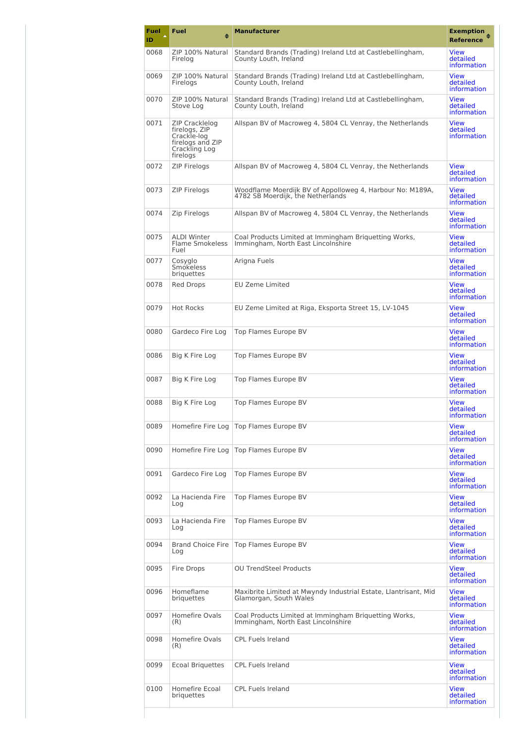| Fuel<br>ID | Fuel<br>♠                                                                                              | <b>Manufacturer</b>                                                                            | <b>Exemption</b><br><b>Reference</b>          |
|------------|--------------------------------------------------------------------------------------------------------|------------------------------------------------------------------------------------------------|-----------------------------------------------|
| 0068       | ZIP 100% Natural<br>Firelog                                                                            | Standard Brands (Trading) Ireland Ltd at Castlebellingham,<br>County Louth, Ireland            | <b>View</b><br>detailed<br>information        |
| 0069       | ZIP 100% Natural<br>Firelogs                                                                           | Standard Brands (Trading) Ireland Ltd at Castlebellingham,<br>County Louth, Ireland            | <b>View</b><br>detailed<br>information        |
| 0070       | ZIP 100% Natural<br>Stove Log                                                                          | Standard Brands (Trading) Ireland Ltd at Castlebellingham,<br>County Louth, Ireland            | <b>View</b><br>detailed<br>information        |
| 0071       | <b>ZIP Cracklelog</b><br>firelogs, ZIP<br>Crackle-log<br>firelogs and ZIP<br>Crackling Log<br>firelogs | Allspan BV of Macroweg 4, 5804 CL Venray, the Netherlands                                      | <b>View</b><br>detailed<br><i>information</i> |
| 0072       | <b>ZIP Firelogs</b>                                                                                    | Allspan BV of Macroweg 4, 5804 CL Venray, the Netherlands                                      | <b>View</b><br>detailed<br>information        |
| 0073       | <b>ZIP Firelogs</b>                                                                                    | Woodflame Moerdijk BV of Appolloweg 4, Harbour No: M189A,<br>4782 SB Moerdijk, the Netherlands | <b>View</b><br>detailed<br>information        |
| 0074       | Zip Firelogs                                                                                           | Allspan BV of Macroweg 4, 5804 CL Venray, the Netherlands                                      | <b>View</b><br>detailed<br>information        |
| 0075       | <b>ALDI Winter</b><br>Flame Smokeless<br>Fuel                                                          | Coal Products Limited at Immingham Briguetting Works,<br>Immingham, North East Lincolnshire    | <b>View</b><br>detailed<br>information        |
| 0077       | Cosyglo<br>Smokeless<br>briguettes                                                                     | Arigna Fuels                                                                                   | <b>View</b><br>detailed<br>information        |
| 0078       | Red Drops                                                                                              | <b>EU Zeme Limited</b>                                                                         | <b>View</b><br>detailed<br>information        |
| 0079       | <b>Hot Rocks</b>                                                                                       | EU Zeme Limited at Riga, Eksporta Street 15, LV-1045                                           | <b>View</b><br>detailed<br>information        |
| 0080       | Gardeco Fire Log                                                                                       | Top Flames Europe BV                                                                           | <b>View</b><br>detailed<br>information        |
| 0086       | Big K Fire Log                                                                                         | Top Flames Europe BV                                                                           | <b>View</b><br>detailed<br>information        |
| 0087       | Big K Fire Log                                                                                         | Top Flames Europe BV                                                                           | <b>View</b><br>detailed<br>information        |
| 0088       | Big K Fire Log                                                                                         | Top Flames Europe BV                                                                           | <b>View</b><br>detailed<br>information        |
| 0089       | Homefire Fire Log                                                                                      | Top Flames Europe BV                                                                           | <b>View</b><br>detailed<br><i>information</i> |
| 0090       | Homefire Fire Log                                                                                      | Top Flames Europe BV                                                                           | <b>View</b><br>detailed<br><i>information</i> |
| 0091       | Gardeco Fire Log                                                                                       | Top Flames Europe BV                                                                           | <b>View</b><br>detailed<br>information        |
| 0092       | La Hacienda Fire<br>Log                                                                                | Top Flames Europe BV                                                                           | <b>View</b><br>detailed<br>information        |
| 0093       | La Hacienda Fire<br>Log                                                                                | Top Flames Europe BV                                                                           | <b>View</b><br>detailed<br><i>information</i> |
| 0094       | <b>Brand Choice Fire</b><br>Log                                                                        | Top Flames Europe BV                                                                           | <b>View</b><br>detailed<br>information        |
| 0095       | Fire Drops                                                                                             | <b>OU TrendSteel Products</b>                                                                  | <b>View</b><br>detailed<br>information        |
| 0096       | Homeflame<br>briguettes                                                                                | Maxibrite Limited at Mwyndy Industrial Estate, Llantrisant, Mid<br>Glamorgan, South Wales      | <b>View</b><br>detailed<br>information        |
| 0097       | Homefire Ovals<br>(R)                                                                                  | Coal Products Limited at Immingham Briguetting Works,<br>Immingham, North East Lincolnshire    | <b>View</b><br>detailed<br><i>information</i> |
| 0098       | Homefire Ovals<br>(R)                                                                                  | <b>CPL Fuels Ireland</b>                                                                       | <b>View</b><br>detailed<br>information        |
| 0099       | <b>Ecoal Briguettes</b>                                                                                | <b>CPL Fuels Ireland</b>                                                                       | <b>View</b><br>detailed<br>information        |
| 0100       | Homefire Ecoal<br>briquettes                                                                           | <b>CPL Fuels Ireland</b>                                                                       | <b>View</b><br>detailed<br>information        |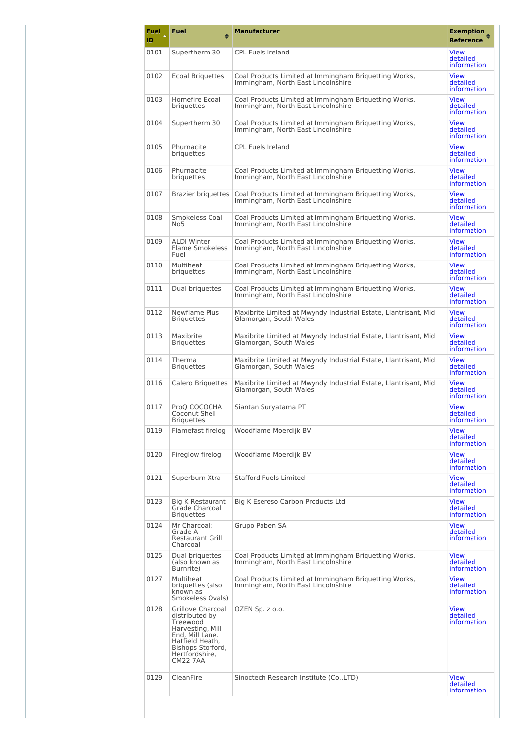| Fuel<br>ID | Fuel<br>٠                                                                                                                                                           | <b>Manufacturer</b>                                                                         | <b>Exemption</b><br><b>Reference</b>          |
|------------|---------------------------------------------------------------------------------------------------------------------------------------------------------------------|---------------------------------------------------------------------------------------------|-----------------------------------------------|
| 0101       | Supertherm 30                                                                                                                                                       | <b>CPL Fuels Ireland</b>                                                                    | <b>View</b><br>detailed<br>information        |
| 0102       | <b>Ecoal Briguettes</b>                                                                                                                                             | Coal Products Limited at Immingham Briguetting Works,<br>Immingham, North East Lincolnshire | <b>View</b><br>detailed<br>information        |
| 0103       | Homefire Ecoal<br>briquettes                                                                                                                                        | Coal Products Limited at Immingham Briquetting Works,<br>Immingham, North East Lincolnshire | <b>View</b><br>detailed<br>information        |
| 0104       | Supertherm 30                                                                                                                                                       | Coal Products Limited at Immingham Briquetting Works,<br>Immingham, North East Lincolnshire | <b>View</b><br>detailed<br>information        |
| 0105       | Phurnacite<br>briquettes                                                                                                                                            | <b>CPL Fuels Ireland</b>                                                                    | <b>View</b><br>detailed<br>information        |
| 0106       | Phurnacite<br>briquettes                                                                                                                                            | Coal Products Limited at Immingham Briquetting Works,<br>Immingham, North East Lincolnshire | <b>View</b><br>detailed<br>information        |
| 0107       | <b>Brazier briguettes</b>                                                                                                                                           | Coal Products Limited at Immingham Briguetting Works,<br>Immingham, North East Lincolnshire | <b>View</b><br>detailed<br>information        |
| 0108       | Smokeless Coal<br>No5                                                                                                                                               | Coal Products Limited at Immingham Briguetting Works,<br>Immingham, North East Lincolnshire | <b>View</b><br>detailed<br>information        |
| 0109       | <b>ALDI Winter</b><br><b>Flame Smokeless</b><br>Fuel                                                                                                                | Coal Products Limited at Immingham Briquetting Works.<br>Immingham, North East Lincolnshire | <b>View</b><br>detailed<br>information        |
| 0110       | Multiheat<br>briquettes                                                                                                                                             | Coal Products Limited at Immingham Briguetting Works,<br>Immingham, North East Lincolnshire | <b>View</b><br>detailed<br>information        |
| 0111       | Dual briguettes                                                                                                                                                     | Coal Products Limited at Immingham Briquetting Works,<br>Immingham, North East Lincolnshire | <b>View</b><br>detailed<br>information        |
| 0112       | Newflame Plus<br><b>Briquettes</b>                                                                                                                                  | Maxibrite Limited at Mwyndy Industrial Estate, Llantrisant, Mid<br>Glamorgan, South Wales   | <b>View</b><br>detailed<br>information        |
| 0113       | Maxibrite<br><b>Briquettes</b>                                                                                                                                      | Maxibrite Limited at Mwyndy Industrial Estate, Llantrisant, Mid<br>Glamorgan, South Wales   | <b>View</b><br>detailed<br>information        |
| 0114       | Therma<br><b>Briquettes</b>                                                                                                                                         | Maxibrite Limited at Mwyndy Industrial Estate, Llantrisant, Mid<br>Glamorgan, South Wales   | View<br>detailed<br>information               |
| 0116       | <b>Calero Briguettes</b>                                                                                                                                            | Maxibrite Limited at Mwyndy Industrial Estate, Llantrisant, Mid<br>Glamorgan, South Wales   | <b>View</b><br>detailed<br>information        |
| 0117       | ProQ COCOCHA<br>Coconut Shell<br><b>Briquettes</b>                                                                                                                  | Siantan Suryatama PT                                                                        | <b>View</b><br>detailed<br>information        |
| 0119       | Flamefast firelog                                                                                                                                                   | Woodflame Moerdijk BV                                                                       | View<br>detailed<br><i>information</i>        |
| 0120       | Fireglow firelog                                                                                                                                                    | Woodflame Moerdijk BV                                                                       | <b>View</b><br>detailed<br>information        |
| 0121       | Superburn Xtra                                                                                                                                                      | <b>Stafford Fuels Limited</b>                                                               | <b>View</b><br>detailed<br>information        |
| 0123       | <b>Big K Restaurant</b><br>Grade Charcoal<br><b>Briquettes</b>                                                                                                      | Big K Esereso Carbon Products Ltd                                                           | <b>View</b><br>detailed<br><i>information</i> |
| 0124       | Mr Charcoal:<br>Grade A<br><b>Restaurant Grill</b><br>Charcoal                                                                                                      | Grupo Paben SA                                                                              | <b>View</b><br>detailed<br><i>information</i> |
| 0125       | Dual briguettes<br>(also known as<br>Burnrite)                                                                                                                      | Coal Products Limited at Immingham Briquetting Works,<br>Immingham, North East Lincolnshire | <b>View</b><br>detailed<br>information        |
| 0127       | Multiheat<br>briquettes (also<br>known as<br>Smokeless Ovals)                                                                                                       | Coal Products Limited at Immingham Briquetting Works,<br>Immingham, North East Lincolnshire | <b>View</b><br>detailed<br><i>information</i> |
| 0128       | Grillove Charcoal<br>distributed by<br>Treewood<br>Harvesting, Mill<br>End, Mill Lane,<br>Hatfield Heath,<br>Bishops Storford,<br>Hertfordshire,<br><b>CM22 7AA</b> | OZEN Sp. z o.o.                                                                             | <b>View</b><br>detailed<br><i>information</i> |
| 0129       | CleanFire                                                                                                                                                           | Sinoctech Research Institute (Co.,LTD)                                                      | View<br>detailed<br>information               |
|            |                                                                                                                                                                     |                                                                                             |                                               |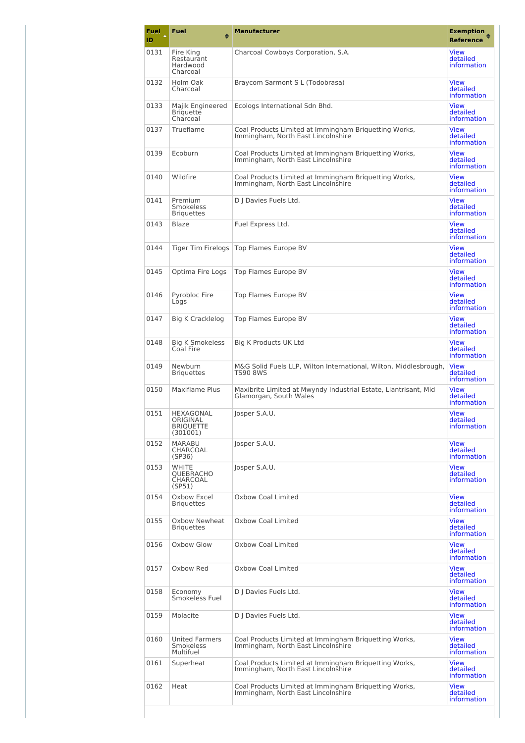| Fuel<br>ID | <b>Fuel</b><br>♠                                             | <b>Manufacturer</b>                                                                         | <b>Exemption</b><br><b>Reference</b>          |
|------------|--------------------------------------------------------------|---------------------------------------------------------------------------------------------|-----------------------------------------------|
| 0131       | Fire King<br>Restaurant<br>Hardwood<br>Charcoal              | Charcoal Cowboys Corporation, S.A.                                                          | <b>View</b><br>detailed<br>information        |
| 0132       | Holm Oak<br>Charcoal                                         | Braycom Sarmont S L (Todobrasa)                                                             | <b>View</b><br>detailed<br>information        |
| 0133       | Majik Engineered<br><b>Briquette</b><br>Charcoal             | Ecologs International Sdn Bhd.                                                              | <b>View</b><br>detailed<br>information        |
| 0137       | Trueflame                                                    | Coal Products Limited at Immingham Briquetting Works,<br>Immingham, North East Lincolnshire | <b>View</b><br>detailed<br>information        |
| 0139       | Ecoburn                                                      | Coal Products Limited at Immingham Briquetting Works,<br>Immingham, North East Lincolnshire | <b>View</b><br>detailed<br>information        |
| 0140       | Wildfire                                                     | Coal Products Limited at Immingham Briquetting Works,<br>Immingham, North East Lincolnshire | <b>View</b><br>detailed<br>information        |
| 0141       | Premium<br>Smokeless<br><b>Briquettes</b>                    | D J Davies Fuels Ltd.                                                                       | View<br>detailed<br>information               |
| 0143       | Blaze                                                        | Fuel Express Ltd.                                                                           | <b>View</b><br>detailed<br>information        |
| 0144       | Tiger Tim Firelogs                                           | Top Flames Europe BV                                                                        | <b>View</b><br>detailed<br>information        |
| 0145       | Optima Fire Logs                                             | Top Flames Europe BV                                                                        | <b>View</b><br>detailed<br>information        |
| 0146       | Pyrobloc Fire<br>Logs                                        | Top Flames Europe BV                                                                        | <b>View</b><br>detailed<br>information        |
| 0147       | Big K Cracklelog                                             | Top Flames Europe BV                                                                        | <b>View</b><br>detailed<br>information        |
| 0148       | Big K Smokeless<br>Coal Fire                                 | Big K Products UK Ltd                                                                       | <b>View</b><br>detailed<br>information        |
| 0149       | Newburn<br><b>Briquettes</b>                                 | M&G Solid Fuels LLP, Wilton International, Wilton, Middlesbrough,<br><b>TS90 8WS</b>        | <b>View</b><br>detailed<br>information        |
| 0150       | Maxiflame Plus                                               | Maxibrite Limited at Mwyndy Industrial Estate, Llantrisant, Mid<br>Glamorgan, South Wales   | <b>View</b><br>detailed<br>information        |
| 0151       | <b>HEXAGONAL</b><br>ORIGINAL<br><b>BRIOUETTE</b><br>(301001) | Josper S.A.U.                                                                               | View<br>detailed<br>information               |
| 0152       | <b>MARABU</b><br>CHARCOAL<br>(SP36)                          | Josper S.A.U.                                                                               | <b>View</b><br>detailed<br>information        |
| 0153       | <b>WHITE</b><br><b>OUEBRACHO</b><br>CHARCOAL<br>(SP51)       | Josper S.A.U.                                                                               | <b>View</b><br>detailed<br>information        |
| 0154       | Oxbow Excel<br><b>Briquettes</b>                             | Oxbow Coal Limited                                                                          | <b>View</b><br>detailed<br>information        |
| 0155       | Oxbow Newheat<br><b>Briquettes</b>                           | Oxhow Coal Limited                                                                          | <b>View</b><br>detailed<br>information        |
| 0156       | Oxbow Glow                                                   | Oxbow Coal Limited                                                                          | <b>View</b><br>detailed<br><i>information</i> |
| 0157       | Oxbow Red                                                    | Oxbow Coal Limited                                                                          | <b>View</b><br>detailed<br><i>information</i> |
| 0158       | Economy<br>Smokeless Fuel                                    | D   Davies Fuels Ltd.                                                                       | <b>View</b><br>detailed<br><i>information</i> |
| 0159       | Molacite                                                     | D J Davies Fuels Ltd.                                                                       | <b>View</b><br>detailed<br>information        |
| 0160       | <b>United Farmers</b><br>Smokeless<br>Multifuel              | Coal Products Limited at Immingham Briquetting Works,<br>Immingham, North East Lincolnshire | <b>View</b><br>detailed<br><i>information</i> |
| 0161       | Superheat                                                    | Coal Products Limited at Immingham Briquetting Works,<br>Immingham, North East Lincolnshire | <b>View</b><br>detailed<br><i>information</i> |
| 0162       | Heat                                                         | Coal Products Limited at Immingham Briquetting Works,<br>Immingham, North East Lincolnshire | <b>View</b><br>detailed<br>information        |
|            |                                                              |                                                                                             |                                               |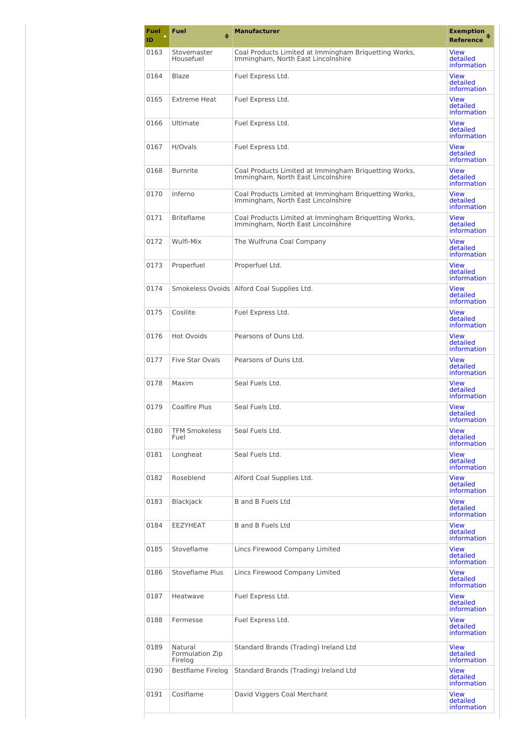| <b>Fuel</b><br>ID | <b>Fuel</b><br>♠                      | <b>Manufacturer</b>                                                                         | <b>Exemption</b><br><b>Reference</b>          |
|-------------------|---------------------------------------|---------------------------------------------------------------------------------------------|-----------------------------------------------|
| 0163              | Stovemaster<br>Housefuel              | Coal Products Limited at Immingham Briguetting Works,<br>Immingham, North East Lincolnshire | View<br>detailed<br>information               |
| 0164              | Blaze                                 | Fuel Express Ltd.                                                                           | <b>View</b><br>detailed<br>information        |
| 0165              | <b>Extreme Heat</b>                   | Fuel Express Ltd.                                                                           | <b>View</b><br>detailed<br>information        |
| 0166              | Ultimate                              | Fuel Express Ltd.                                                                           | <b>View</b><br>detailed<br>information        |
| 0167              | H/Ovals                               | Fuel Express Ltd.                                                                           | <b>View</b><br>detailed<br><i>information</i> |
| 0168              | <b>Burnrite</b>                       | Coal Products Limited at Immingham Briquetting Works,<br>Immingham, North East Lincolnshire | <b>View</b><br>detailed<br>information        |
| 0170              | Inferno                               | Coal Products Limited at Immingham Briquetting Works,<br>Immingham, North East Lincolnshire | <b>View</b><br>detailed<br>information        |
| 0171              | <b>Briteflame</b>                     | Coal Products Limited at Immingham Briguetting Works,<br>Immingham, North East Lincolnshire | <b>View</b><br>detailed<br>information        |
| 0172              | Wulfi-Mix                             | The Wulfruna Coal Company                                                                   | <b>View</b><br>detailed<br>information        |
| 0173              | Properfuel                            | Properfuel Ltd.                                                                             | <b>View</b><br>detailed<br>information        |
| 0174              |                                       | Smokeless Ovoids Alford Coal Supplies Ltd.                                                  | <b>View</b><br>detailed<br>information        |
| 0175              | Cosilite                              | Fuel Express Ltd.                                                                           | <b>View</b><br>detailed<br>information        |
| 0176              | <b>Hot Ovoids</b>                     | Pearsons of Duns Ltd.                                                                       | <b>View</b><br>detailed<br>information        |
| 0177              | <b>Five Star Ovals</b>                | Pearsons of Duns Ltd.                                                                       | <b>View</b><br>detailed<br><i>information</i> |
| 0178              | Maxim                                 | Seal Fuels Ltd.                                                                             | <b>View</b><br>detailed<br>information        |
| 0179              | Coalfire Plus                         | Seal Fuels Ltd.                                                                             | <b>View</b><br>detailed<br>information        |
| 0180              | <b>TFM Smokeless</b><br>Fuel          | Seal Fuels Ltd.                                                                             | <b>View</b><br>detailed<br>information        |
| 0181              | Longheat                              | Seal Fuels Ltd.                                                                             | <b>View</b><br>detailed<br>information        |
| 0182              | Roseblend                             | Alford Coal Supplies Ltd.                                                                   | <b>View</b><br>detailed<br>information        |
| 0183              | Blackjack                             | <b>B</b> and <b>B</b> Fuels Ltd                                                             | <b>View</b><br>detailed<br>information        |
| 0184              | <b>EEZYHEAT</b>                       | <b>B</b> and <b>B</b> Fuels Ltd                                                             | <b>View</b><br>detailed<br>information        |
| 0185              | Stoveflame                            | Lincs Firewood Company Limited                                                              | <b>View</b><br>detailed<br>information        |
| 0186              | <b>Stoveflame Plus</b>                | Lincs Firewood Company Limited                                                              | <b>View</b><br>detailed<br>information        |
| 0187              | Heatwave                              | Fuel Express Ltd.                                                                           | <b>View</b><br>detailed<br><i>information</i> |
| 0188              | Fermesse                              | Fuel Express Ltd.                                                                           | <b>View</b><br>detailed<br>information        |
| 0189              | Natural<br>Formulation Zip<br>Firelog | Standard Brands (Trading) Ireland Ltd                                                       | <b>View</b><br>detailed<br>information        |
| 0190              | Bestflame Firelog                     | Standard Brands (Trading) Ireland Ltd                                                       | <b>View</b><br>detailed<br><i>information</i> |
| 0191              | Cosiflame                             | David Viggers Coal Merchant                                                                 | <b>View</b><br>detailed<br>information        |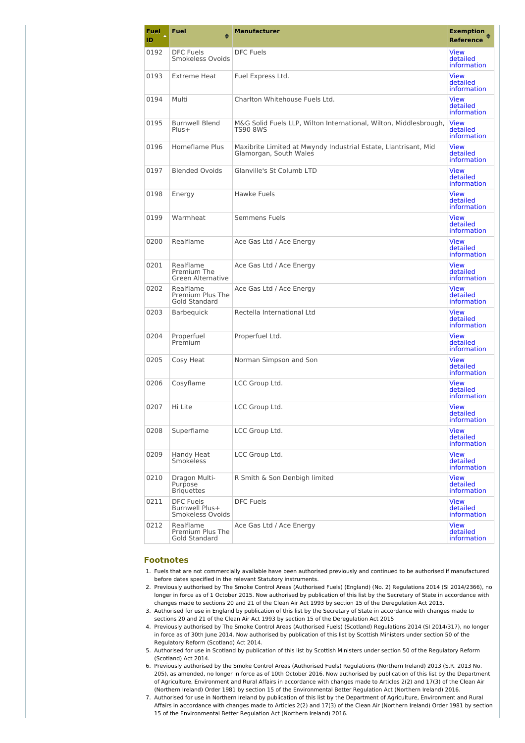| Fuel<br>ID | <b>Fuel</b><br>٠                                       | <b>Manufacturer</b>                                                                       | <b>Exemption</b><br><b>Reference</b>          |
|------------|--------------------------------------------------------|-------------------------------------------------------------------------------------------|-----------------------------------------------|
|            |                                                        |                                                                                           |                                               |
| 0192       | <b>DFC Fuels</b><br>Smokeless Ovoids                   | <b>DFC Fuels</b>                                                                          | <b>View</b><br>detailed<br>information        |
| 0193       | <b>Extreme Heat</b>                                    | Fuel Express Ltd.                                                                         | <b>View</b><br>detailed<br>information        |
| 0194       | Multi                                                  | Charlton Whitehouse Fuels Ltd.                                                            | <b>View</b><br>detailed<br>information        |
| 0195       | <b>Burnwell Blend</b><br>$Plus+$                       | M&G Solid Fuels LLP, Wilton International, Wilton, Middlesbrough,<br><b>TS90 8WS</b>      | <b>View</b><br>detailed<br>information        |
| 0196       | Homeflame Plus                                         | Maxibrite Limited at Mwyndy Industrial Estate, Llantrisant, Mid<br>Glamorgan, South Wales | <b>View</b><br>detailed<br>information        |
| 0197       | <b>Blended Ovoids</b>                                  | Glanville's St Columb LTD                                                                 | <b>View</b><br>detailed<br>information        |
| 0198       | Energy                                                 | Hawke Fuels                                                                               | <b>View</b><br>detailed<br>information        |
| 0199       | Warmheat                                               | Semmens Fuels                                                                             | <b>View</b><br>detailed<br>information        |
| 0200       | Realflame                                              | Ace Gas Ltd / Ace Energy                                                                  | <b>View</b><br>detailed<br>information        |
| 0201       | Realflame<br>Premium The<br><b>Green Alternative</b>   | Ace Gas Ltd / Ace Energy                                                                  | <b>View</b><br>detailed<br>information        |
| 0202       | Realflame<br>Premium Plus The<br><b>Gold Standard</b>  | Ace Gas Ltd / Ace Energy                                                                  | <b>View</b><br>detailed<br>information        |
| 0203       | <b>Barbequick</b>                                      | Rectella International Ltd                                                                | <b>View</b><br>detailed<br>information        |
| 0204       | Properfuel<br>Premium                                  | Properfuel Ltd.                                                                           | <b>View</b><br>detailed<br>information        |
| 0205       | Cosy Heat                                              | Norman Simpson and Son                                                                    | <b>View</b><br>detailed<br>information        |
| 0206       | Cosyflame                                              | LCC Group Ltd.                                                                            | <b>View</b><br>detailed<br>information        |
| 0207       | Hi Lite                                                | LCC Group Ltd.                                                                            | <b>View</b><br>detailed<br>information        |
| 0208       | Superflame                                             | LCC Group Ltd.                                                                            | <b>View</b><br>detailed<br>information        |
| 0209       | Handy Heat<br>Smokeless                                | LCC Group Ltd.                                                                            | <b>View</b><br>detailed<br><i>information</i> |
| 0210       | Dragon Multi-<br>Purpose<br><b>Briquettes</b>          | R Smith & Son Denbigh limited                                                             | <b>View</b><br>detailed<br>information        |
| 0211       | <b>DFC Fuels</b><br>Burnwell Plus+<br>Smokeless Ovoids | <b>DFC Fuels</b>                                                                          | <b>View</b><br>detailed<br>information        |
| 0212       | Realflame<br>Premium Plus The<br>Gold Standard         | Ace Gas Ltd / Ace Energy                                                                  | <b>View</b><br>detailed<br>information        |

### **Footnotes**

- 1. Fuels that are not commercially available have been authorised previously and continued to be authorised if manufactured before dates specified in the relevant Statutory instruments.
- 2. Previously authorised by The Smoke Control Areas (Authorised Fuels) (England) (No. 2) Regulations 2014 (SI 2014/2366), no longer in force as of 1 October 2015. Now authorised by publication of this list by the Secretary of State in accordance with changes made to sections 20 and 21 of the Clean Air Act 1993 by section 15 of the Deregulation Act 2015.
- 3. Authorised for use in England by publication of this list by the Secretary of State in accordance with changes made to sections 20 and 21 of the Clean Air Act 1993 by section 15 of the Deregulation Act 2015
- 4. Previously authorised by The Smoke Control Areas (Authorised Fuels) (Scotland) Regulations 2014 (SI 2014/317), no longer in force as of 30th June 2014. Now authorised by publication of this list by Scottish Ministers under section 50 of the Regulatory Reform (Scotland) Act 2014.
- 5. Authorised for use in Scotland by publication of this list by Scottish Ministers under section 50 of the Regulatory Reform (Scotland) Act 2014.
- 6. Previously authorised by the Smoke Control Areas (Authorised Fuels) Regulations (Northern Ireland) 2013 (S.R. 2013 No. 205), as amended, no longer in force as of 10th October 2016. Now authorised by publication of this list by the Department of Agriculture, Environment and Rural Affairs in accordance with changes made to Articles 2(2) and 17(3) of the Clean Air (Northern Ireland) Order 1981 by section 15 of the Environmental Better Regulation Act (Northern Ireland) 2016.
- 7. Authorised for use in Northern Ireland by publication of this list by the Department of Agriculture, Environment and Rural Affairs in accordance with changes made to Articles 2(2) and 17(3) of the Clean Air (Northern Ireland) Order 1981 by section 15 of the Environmental Better Regulation Act (Northern Ireland) 2016.